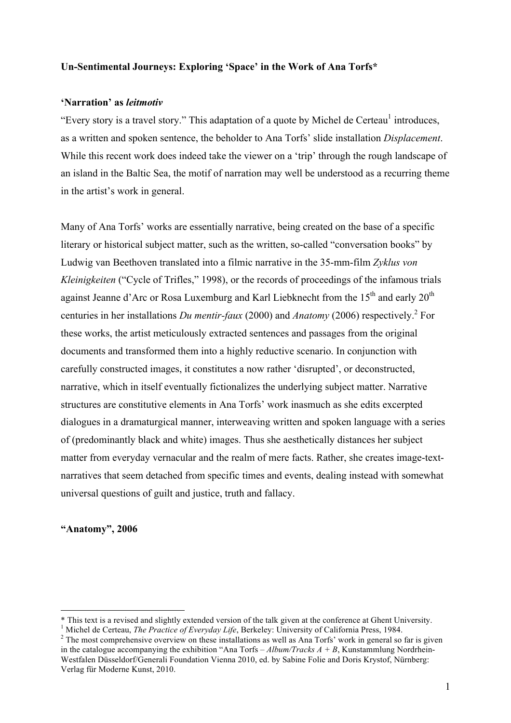# **Un-Sentimental Journeys: Exploring 'Space' in the Work of Ana Torfs\***

#### **'Narration' as** *leitmotiv*

"Every story is a travel story." This adaptation of a quote by Michel de Certeau<sup>1</sup> introduces, as a written and spoken sentence, the beholder to Ana Torfs' slide installation *Displacement*. While this recent work does indeed take the viewer on a 'trip' through the rough landscape of an island in the Baltic Sea, the motif of narration may well be understood as a recurring theme in the artist's work in general.

Many of Ana Torfs' works are essentially narrative, being created on the base of a specific literary or historical subject matter, such as the written, so-called "conversation books" by Ludwig van Beethoven translated into a filmic narrative in the 35-mm-film *Zyklus von Kleinigkeiten* ("Cycle of Trifles," 1998), or the records of proceedings of the infamous trials against Jeanne d'Arc or Rosa Luxemburg and Karl Liebknecht from the  $15<sup>th</sup>$  and early  $20<sup>th</sup>$ centuries in her installations *Du mentir-faux* (2000) and *Anatomy* (2006) respectively. <sup>2</sup> For these works, the artist meticulously extracted sentences and passages from the original documents and transformed them into a highly reductive scenario. In conjunction with carefully constructed images, it constitutes a now rather 'disrupted', or deconstructed, narrative, which in itself eventually fictionalizes the underlying subject matter. Narrative structures are constitutive elements in Ana Torfs' work inasmuch as she edits excerpted dialogues in a dramaturgical manner, interweaving written and spoken language with a series of (predominantly black and white) images. Thus she aesthetically distances her subject matter from everyday vernacular and the realm of mere facts. Rather, she creates image-textnarratives that seem detached from specific times and events, dealing instead with somewhat universal questions of guilt and justice, truth and fallacy.

#### **"Anatomy", 2006**

 <sup>\*</sup> This text is a revised and slightly extended version of the talk given at the conference at Ghent University.

<sup>&</sup>lt;sup>1</sup> Michel de Certeau, *The Practice of Everyday Life*, Berkeley: University of California Press, 1984.

<sup>&</sup>lt;sup>2</sup> The most comprehensive overview on these installations as well as Ana Torfs' work in general so far is given in the catalogue accompanying the exhibition "Ana Torfs –  $Album/Tracks A + B$ , Kunstammlung Nordrhein-Westfalen Düsseldorf/Generali Foundation Vienna 2010, ed. by Sabine Folie and Doris Krystof, Nürnberg: Verlag für Moderne Kunst, 2010.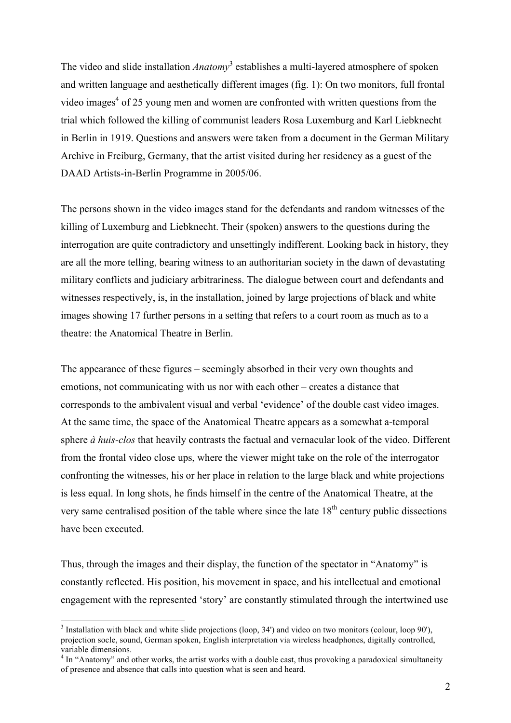The video and slide installation *Anatomy*<sup>3</sup> establishes a multi-layered atmosphere of spoken and written language and aesthetically different images (fig. 1): On two monitors, full frontal video images<sup>4</sup> of 25 young men and women are confronted with written questions from the trial which followed the killing of communist leaders Rosa Luxemburg and Karl Liebknecht in Berlin in 1919. Questions and answers were taken from a document in the German Military Archive in Freiburg, Germany, that the artist visited during her residency as a guest of the DAAD Artists-in-Berlin Programme in 2005/06.

The persons shown in the video images stand for the defendants and random witnesses of the killing of Luxemburg and Liebknecht. Their (spoken) answers to the questions during the interrogation are quite contradictory and unsettingly indifferent. Looking back in history, they are all the more telling, bearing witness to an authoritarian society in the dawn of devastating military conflicts and judiciary arbitrariness. The dialogue between court and defendants and witnesses respectively, is, in the installation, joined by large projections of black and white images showing 17 further persons in a setting that refers to a court room as much as to a theatre: the Anatomical Theatre in Berlin.

The appearance of these figures – seemingly absorbed in their very own thoughts and emotions, not communicating with us nor with each other – creates a distance that corresponds to the ambivalent visual and verbal 'evidence' of the double cast video images. At the same time, the space of the Anatomical Theatre appears as a somewhat a-temporal sphere *à huis-clos* that heavily contrasts the factual and vernacular look of the video. Different from the frontal video close ups, where the viewer might take on the role of the interrogator confronting the witnesses, his or her place in relation to the large black and white projections is less equal. In long shots, he finds himself in the centre of the Anatomical Theatre, at the very same centralised position of the table where since the late  $18<sup>th</sup>$  century public dissections have been executed.

Thus, through the images and their display, the function of the spectator in "Anatomy" is constantly reflected. His position, his movement in space, and his intellectual and emotional engagement with the represented 'story' are constantly stimulated through the intertwined use

 <sup>3</sup>  $3$  Installation with black and white slide projections (loop, 34') and video on two monitors (colour, loop 90'), projection socle, sound, German spoken, English interpretation via wireless headphones, digitally controlled, variable dimensions.

<sup>&</sup>lt;sup>4</sup> In "Anatomy" and other works, the artist works with a double cast, thus provoking a paradoxical simultaneity of presence and absence that calls into question what is seen and heard.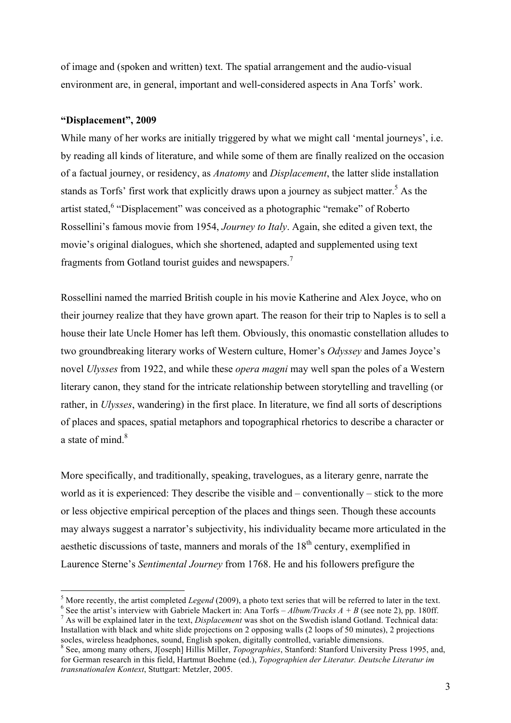of image and (spoken and written) text. The spatial arrangement and the audio-visual environment are, in general, important and well-considered aspects in Ana Torfs' work.

# **"Displacement", 2009**

While many of her works are initially triggered by what we might call 'mental journeys', i.e. by reading all kinds of literature, and while some of them are finally realized on the occasion of a factual journey, or residency, as *Anatomy* and *Displacement*, the latter slide installation stands as Torfs' first work that explicitly draws upon a journey as subject matter.<sup>5</sup> As the artist stated,<sup>6</sup> "Displacement" was conceived as a photographic "remake" of Roberto Rossellini's famous movie from 1954, *Journey to Italy*. Again, she edited a given text, the movie's original dialogues, which she shortened, adapted and supplemented using text fragments from Gotland tourist guides and newspapers.<sup>7</sup>

Rossellini named the married British couple in his movie Katherine and Alex Joyce, who on their journey realize that they have grown apart. The reason for their trip to Naples is to sell a house their late Uncle Homer has left them. Obviously, this onomastic constellation alludes to two groundbreaking literary works of Western culture, Homer's *Odyssey* and James Joyce's novel *Ulysses* from 1922, and while these *opera magni* may well span the poles of a Western literary canon, they stand for the intricate relationship between storytelling and travelling (or rather, in *Ulysses*, wandering) in the first place. In literature, we find all sorts of descriptions of places and spaces, spatial metaphors and topographical rhetorics to describe a character or a state of mind. $8$ 

More specifically, and traditionally, speaking, travelogues, as a literary genre, narrate the world as it is experienced: They describe the visible and – conventionally – stick to the more or less objective empirical perception of the places and things seen. Though these accounts may always suggest a narrator's subjectivity, his individuality became more articulated in the aesthetic discussions of taste, manners and morals of the  $18<sup>th</sup>$  century, exemplified in Laurence Sterne's *Sentimental Journey* from 1768. He and his followers prefigure the

 <sup>5</sup> <sup>5</sup> More recently, the artist completed *Legend* (2009), a photo text series that will be referred to later in the text.

<sup>&</sup>lt;sup>6</sup> See the artist's interview with Gabriele Mackert in: Ana Torfs – *Album/Tracks A* + *B* (see note 2), pp. 180ff. As will be explained later in the text, *Displacement* was shot on the Swedish island Gotland. Technical data: Installation with black and white slide projections on 2 opposing walls (2 loops of 50 minutes), 2 projections socles, wireless headphones, sound, English spoken, digitally controlled, variable dimensions.

See, among many others, J[oseph] Hillis Miller, *Topographies*, Stanford: Stanford University Press 1995, and, for German research in this field, Hartmut Boehme (ed.), *Topographien der Literatur. Deutsche Literatur im transnationalen Kontext*, Stuttgart: Metzler, 2005.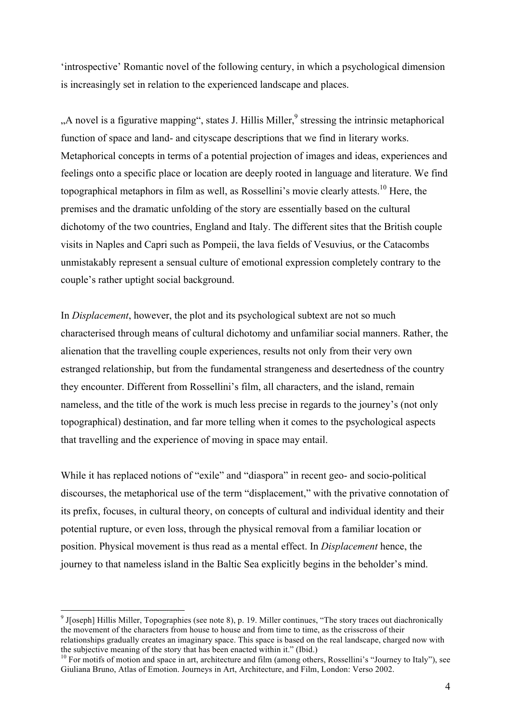'introspective' Romantic novel of the following century, in which a psychological dimension is increasingly set in relation to the experienced landscape and places.

 $A$ , novel is a figurative mapping", states J. Hillis Miller,  $9$  stressing the intrinsic metaphorical function of space and land- and cityscape descriptions that we find in literary works. Metaphorical concepts in terms of a potential projection of images and ideas, experiences and feelings onto a specific place or location are deeply rooted in language and literature. We find topographical metaphors in film as well, as Rossellini's movie clearly attests.<sup>10</sup> Here, the premises and the dramatic unfolding of the story are essentially based on the cultural dichotomy of the two countries, England and Italy. The different sites that the British couple visits in Naples and Capri such as Pompeii, the lava fields of Vesuvius, or the Catacombs unmistakably represent a sensual culture of emotional expression completely contrary to the couple's rather uptight social background.

In *Displacement*, however, the plot and its psychological subtext are not so much characterised through means of cultural dichotomy and unfamiliar social manners. Rather, the alienation that the travelling couple experiences, results not only from their very own estranged relationship, but from the fundamental strangeness and desertedness of the country they encounter. Different from Rossellini's film, all characters, and the island, remain nameless, and the title of the work is much less precise in regards to the journey's (not only topographical) destination, and far more telling when it comes to the psychological aspects that travelling and the experience of moving in space may entail.

While it has replaced notions of "exile" and "diaspora" in recent geo- and socio-political discourses, the metaphorical use of the term "displacement," with the privative connotation of its prefix, focuses, in cultural theory, on concepts of cultural and individual identity and their potential rupture, or even loss, through the physical removal from a familiar location or position. Physical movement is thus read as a mental effect. In *Displacement* hence, the journey to that nameless island in the Baltic Sea explicitly begins in the beholder's mind.

<sup>&</sup>lt;sup>9</sup> J[oseph] Hillis Miller, Topographies (see note 8), p. 19. Miller continues, "The story traces out diachronically the movement of the characters from house to house and from time to time, as the crisscross of their relationships gradually creates an imaginary space. This space is based on the real landscape, charged now with the subjective meaning of the story that has been enacted within it." (Ibid.)

<sup>&</sup>lt;sup>10</sup> For motifs of motion and space in art, architecture and film (among others, Rossellini's "Journey to Italy"), see Giuliana Bruno, Atlas of Emotion. Journeys in Art, Architecture, and Film, London: Verso 2002.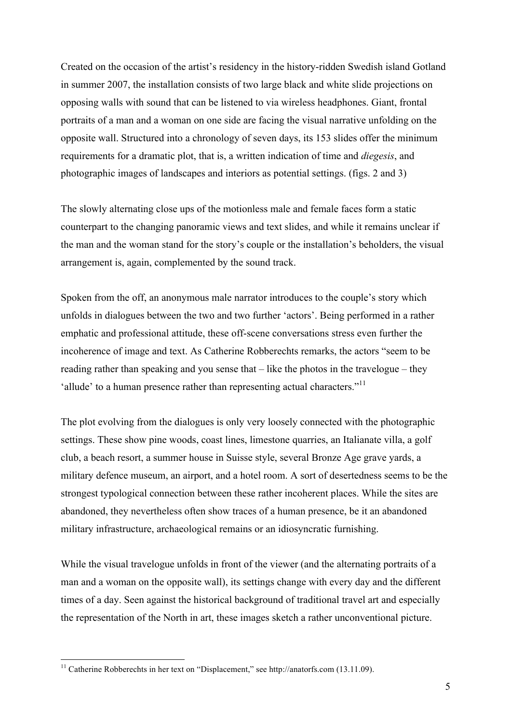Created on the occasion of the artist's residency in the history-ridden Swedish island Gotland in summer 2007, the installation consists of two large black and white slide projections on opposing walls with sound that can be listened to via wireless headphones. Giant, frontal portraits of a man and a woman on one side are facing the visual narrative unfolding on the opposite wall. Structured into a chronology of seven days, its 153 slides offer the minimum requirements for a dramatic plot, that is, a written indication of time and *diegesis*, and photographic images of landscapes and interiors as potential settings. (figs. 2 and 3)

The slowly alternating close ups of the motionless male and female faces form a static counterpart to the changing panoramic views and text slides, and while it remains unclear if the man and the woman stand for the story's couple or the installation's beholders, the visual arrangement is, again, complemented by the sound track.

Spoken from the off, an anonymous male narrator introduces to the couple's story which unfolds in dialogues between the two and two further 'actors'. Being performed in a rather emphatic and professional attitude, these off-scene conversations stress even further the incoherence of image and text. As Catherine Robberechts remarks, the actors "seem to be reading rather than speaking and you sense that – like the photos in the travelogue – they 'allude' to a human presence rather than representing actual characters."<sup>11</sup>

The plot evolving from the dialogues is only very loosely connected with the photographic settings. These show pine woods, coast lines, limestone quarries, an Italianate villa, a golf club, a beach resort, a summer house in Suisse style, several Bronze Age grave yards, a military defence museum, an airport, and a hotel room. A sort of desertedness seems to be the strongest typological connection between these rather incoherent places. While the sites are abandoned, they nevertheless often show traces of a human presence, be it an abandoned military infrastructure, archaeological remains or an idiosyncratic furnishing.

While the visual travelogue unfolds in front of the viewer (and the alternating portraits of a man and a woman on the opposite wall), its settings change with every day and the different times of a day. Seen against the historical background of traditional travel art and especially the representation of the North in art, these images sketch a rather unconventional picture.

<sup>&</sup>lt;sup>11</sup> Catherine Robberechts in her text on "Displacement," see http://anatorfs.com (13.11.09).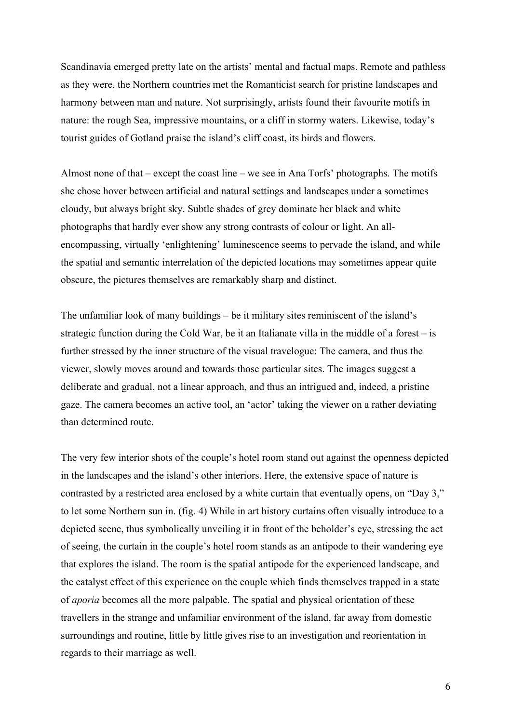Scandinavia emerged pretty late on the artists' mental and factual maps. Remote and pathless as they were, the Northern countries met the Romanticist search for pristine landscapes and harmony between man and nature. Not surprisingly, artists found their favourite motifs in nature: the rough Sea, impressive mountains, or a cliff in stormy waters. Likewise, today's tourist guides of Gotland praise the island's cliff coast, its birds and flowers.

Almost none of that – except the coast line – we see in Ana Torfs' photographs. The motifs she chose hover between artificial and natural settings and landscapes under a sometimes cloudy, but always bright sky. Subtle shades of grey dominate her black and white photographs that hardly ever show any strong contrasts of colour or light. An allencompassing, virtually 'enlightening' luminescence seems to pervade the island, and while the spatial and semantic interrelation of the depicted locations may sometimes appear quite obscure, the pictures themselves are remarkably sharp and distinct.

The unfamiliar look of many buildings – be it military sites reminiscent of the island's strategic function during the Cold War, be it an Italianate villa in the middle of a forest – is further stressed by the inner structure of the visual travelogue: The camera, and thus the viewer, slowly moves around and towards those particular sites. The images suggest a deliberate and gradual, not a linear approach, and thus an intrigued and, indeed, a pristine gaze. The camera becomes an active tool, an 'actor' taking the viewer on a rather deviating than determined route.

The very few interior shots of the couple's hotel room stand out against the openness depicted in the landscapes and the island's other interiors. Here, the extensive space of nature is contrasted by a restricted area enclosed by a white curtain that eventually opens, on "Day 3," to let some Northern sun in. (fig. 4) While in art history curtains often visually introduce to a depicted scene, thus symbolically unveiling it in front of the beholder's eye, stressing the act of seeing, the curtain in the couple's hotel room stands as an antipode to their wandering eye that explores the island. The room is the spatial antipode for the experienced landscape, and the catalyst effect of this experience on the couple which finds themselves trapped in a state of *aporia* becomes all the more palpable. The spatial and physical orientation of these travellers in the strange and unfamiliar environment of the island, far away from domestic surroundings and routine, little by little gives rise to an investigation and reorientation in regards to their marriage as well.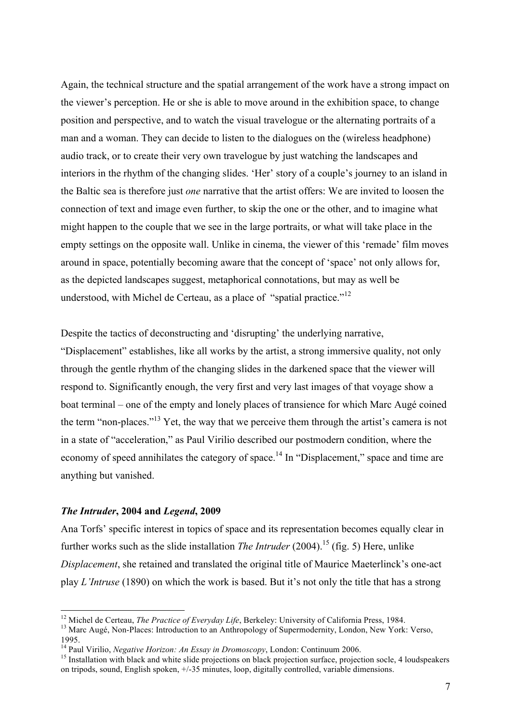Again, the technical structure and the spatial arrangement of the work have a strong impact on the viewer's perception. He or she is able to move around in the exhibition space, to change position and perspective, and to watch the visual travelogue or the alternating portraits of a man and a woman. They can decide to listen to the dialogues on the (wireless headphone) audio track, or to create their very own travelogue by just watching the landscapes and interiors in the rhythm of the changing slides. 'Her' story of a couple's journey to an island in the Baltic sea is therefore just *one* narrative that the artist offers: We are invited to loosen the connection of text and image even further, to skip the one or the other, and to imagine what might happen to the couple that we see in the large portraits, or what will take place in the empty settings on the opposite wall. Unlike in cinema, the viewer of this 'remade' film moves around in space, potentially becoming aware that the concept of 'space' not only allows for, as the depicted landscapes suggest, metaphorical connotations, but may as well be understood, with Michel de Certeau, as a place of "spatial practice."<sup>12</sup>

Despite the tactics of deconstructing and 'disrupting' the underlying narrative,

"Displacement" establishes, like all works by the artist, a strong immersive quality, not only through the gentle rhythm of the changing slides in the darkened space that the viewer will respond to. Significantly enough, the very first and very last images of that voyage show a boat terminal – one of the empty and lonely places of transience for which Marc Augé coined the term "non-places."<sup>13</sup> Yet, the way that we perceive them through the artist's camera is not in a state of "acceleration," as Paul Virilio described our postmodern condition, where the economy of speed annihilates the category of space.<sup>14</sup> In "Displacement," space and time are anything but vanished.

#### *The Intruder***, 2004 and** *Legend***, 2009**

Ana Torfs' specific interest in topics of space and its representation becomes equally clear in further works such as the slide installation *The Intruder* (2004). 15 (fig. 5) Here, unlike *Displacement*, she retained and translated the original title of Maurice Maeterlinck's one-act play *L'Intruse* (1890) on which the work is based. But it's not only the title that has a strong

<sup>&</sup>lt;sup>12</sup> Michel de Certeau, *The Practice of Everyday Life*, Berkeley: University of California Press, 1984.<br><sup>13</sup> Marc Augé, Non-Places: Introduction to an Anthropology of Supermodernity, London, New York: Verso, 1995.<br><sup>14</sup> Paul Virilio, *Negative Horizon: An Essay in Dromoscopy*, London: Continuum 2006.

<sup>&</sup>lt;sup>15</sup> Installation with black and white slide projections on black projection surface, projection socle, 4 loudspeakers on tripods, sound, English spoken, +/-35 minutes, loop, digitally controlled, variable dimensions.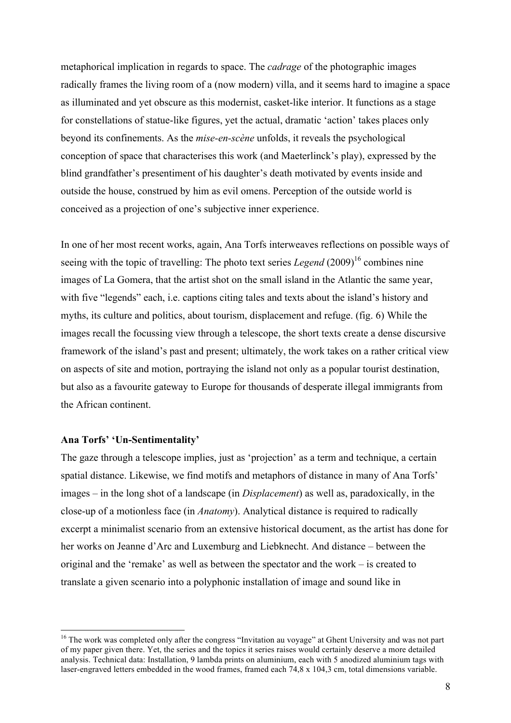metaphorical implication in regards to space. The *cadrage* of the photographic images radically frames the living room of a (now modern) villa, and it seems hard to imagine a space as illuminated and yet obscure as this modernist, casket-like interior. It functions as a stage for constellations of statue-like figures, yet the actual, dramatic 'action' takes places only beyond its confinements. As the *mise-en-scène* unfolds, it reveals the psychological conception of space that characterises this work (and Maeterlinck's play), expressed by the blind grandfather's presentiment of his daughter's death motivated by events inside and outside the house, construed by him as evil omens. Perception of the outside world is conceived as a projection of one's subjective inner experience.

In one of her most recent works, again, Ana Torfs interweaves reflections on possible ways of seeing with the topic of travelling: The photo text series *Legend*  $(2009)^{16}$  combines nine images of La Gomera, that the artist shot on the small island in the Atlantic the same year, with five "legends" each, i.e. captions citing tales and texts about the island's history and myths, its culture and politics, about tourism, displacement and refuge. (fig. 6) While the images recall the focussing view through a telescope, the short texts create a dense discursive framework of the island's past and present; ultimately, the work takes on a rather critical view on aspects of site and motion, portraying the island not only as a popular tourist destination, but also as a favourite gateway to Europe for thousands of desperate illegal immigrants from the African continent.

# **Ana Torfs' 'Un-Sentimentality'**

The gaze through a telescope implies, just as 'projection' as a term and technique, a certain spatial distance. Likewise, we find motifs and metaphors of distance in many of Ana Torfs' images – in the long shot of a landscape (in *Displacement*) as well as, paradoxically, in the close-up of a motionless face (in *Anatomy*). Analytical distance is required to radically excerpt a minimalist scenario from an extensive historical document, as the artist has done for her works on Jeanne d'Arc and Luxemburg and Liebknecht. And distance – between the original and the 'remake' as well as between the spectator and the work – is created to translate a given scenario into a polyphonic installation of image and sound like in

<sup>&</sup>lt;sup>16</sup> The work was completed only after the congress "Invitation au voyage" at Ghent University and was not part of my paper given there. Yet, the series and the topics it series raises would certainly deserve a more detailed analysis. Technical data: Installation, 9 lambda prints on aluminium, each with 5 anodized aluminium tags with laser-engraved letters embedded in the wood frames, framed each 74,8 x 104,3 cm, total dimensions variable.